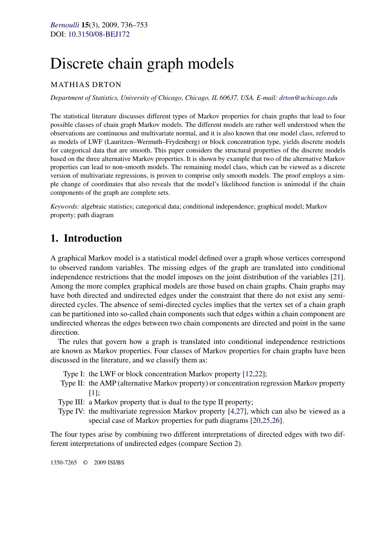# <span id="page-0-0"></span>Discrete chain graph models

## MATHIAS DRTON

*Department of Statistics, University of Chicago, Chicago, IL 60637, USA. E-mail: [drton@uchicago.edu](mailto:drton@uchicago.edu)*

The statistical literature discusses different types of Markov properties for chain graphs that lead to four possible classes of chain graph Markov models. The different models are rather well understood when the observations are continuous and multivariate normal, and it is also known that one model class, referred to as models of LWF (Lauritzen–Wermuth–Frydenberg) or block concentration type, yields discrete models for categorical data that are smooth. This paper considers the structural properties of the discrete models based on the three alternative Markov properties. It is shown by example that two of the alternative Markov properties can lead to non-smooth models. The remaining model class, which can be viewed as a discrete version of multivariate regressions, is proven to comprise only smooth models. The proof employs a simple change of coordinates that also reveals that the model's likelihood function is unimodal if the chain components of the graph are complete sets.

*Keywords:* algebraic statistics; categorical data; conditional independence; graphical model; Markov property; path diagram

# **1. Introduction**

A graphical Markov model is a statistical model defined over a graph whose vertices correspond to observed random variables. The missing edges of the graph are translated into conditional independence restrictions that the model imposes on the joint distribution of the variables [\[21\]](#page-17-0). Among the more complex graphical models are those based on chain graphs. Chain graphs may have both directed and undirected edges under the constraint that there do not exist any semidirected cycles. The absence of semi-directed cycles implies that the vertex set of a chain graph can be partitioned into so-called chain components such that edges within a chain component are undirected whereas the edges between two chain components are directed and point in the same direction.

The rules that govern how a graph is translated into conditional independence restrictions are known as Markov properties. Four classes of Markov properties for chain graphs have been discussed in the literature, and we classify them as:

- Type I: the LWF or block concentration Markov property [\[12,22\]](#page-17-0);
- Type II: the AMP (alternative Markov property) or concentration regression Markov property [\[1\]](#page-16-0);
- Type III: a Markov property that is dual to the type II property;
- Type IV: the multivariate regression Markov property [\[4,27\]](#page-16-0), which can also be viewed as a special case of Markov properties for path diagrams [\[20,25,26\]](#page-17-0).

The four types arise by combining two different interpretations of directed edges with two different interpretations of undirected edges (compare Section [2\)](#page-1-0).

1350-7265 © 2009 ISI/BS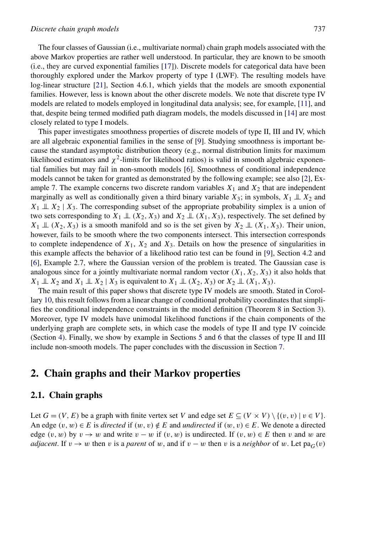<span id="page-1-0"></span>The four classes of Gaussian (i.e., multivariate normal) chain graph models associated with the above Markov properties are rather well understood. In particular, they are known to be smooth (i.e., they are curved exponential families [\[17\]](#page-17-0)). Discrete models for categorical data have been thoroughly explored under the Markov property of type I (LWF). The resulting models have log-linear structure [\[21\]](#page-17-0), Section 4.6.1, which yields that the models are smooth exponential families. However, less is known about the other discrete models. We note that discrete type IV models are related to models employed in longitudinal data analysis; see, for example, [\[11\]](#page-17-0), and that, despite being termed modified path diagram models, the models discussed in [\[14\]](#page-17-0) are most closely related to type I models.

This paper investigates smoothness properties of discrete models of type II, III and IV, which are all algebraic exponential families in the sense of [\[9\]](#page-16-0). Studying smoothness is important because the standard asymptotic distribution theory (e.g., normal distribution limits for maximum likelihood estimators and  $\chi^2$ -limits for likelihood ratios) is valid in smooth algebraic exponential families but may fail in non-smooth models [\[6\]](#page-16-0). Smoothness of conditional independence models cannot be taken for granted as demonstrated by the following example; see also [\[2\]](#page-16-0), Example 7. The example concerns two discrete random variables  $X_1$  and  $X_2$  that are independent marginally as well as conditionally given a third binary variable  $X_3$ ; in symbols,  $X_1 \perp X_2$  and  $X_1 \perp\!\!\!\perp X_2 \mid X_3$ . The corresponding subset of the appropriate probability simplex is a union of two sets corresponding to  $X_1 \perp (X_2, X_3)$  and  $X_2 \perp (X_1, X_3)$ , respectively. The set defined by  $X_1 \perp\!\!\!\perp (X_2, X_3)$  is a smooth manifold and so is the set given by  $X_2 \perp\!\!\!\perp (X_1, X_3)$ . Their union, however, fails to be smooth where the two components intersect. This intersection corresponds to complete independence of  $X_1$ ,  $X_2$  and  $X_3$ . Details on how the presence of singularities in this example affects the behavior of a likelihood ratio test can be found in [\[9\]](#page-16-0), Section 4.2 and [\[6\]](#page-16-0), Example 2.7, where the Gaussian version of the problem is treated. The Gaussian case is analogous since for a jointly multivariate normal random vector  $(X_1, X_2, X_3)$  it also holds that  $X_1 \perp X_2$  and  $X_1 \perp X_2 \mid X_3$  is equivalent to  $X_1 \perp X_1$   $(X_2, X_3)$  or  $X_2 \perp X_1$   $(X_1, X_3)$ .

The main result of this paper shows that discrete type IV models are smooth. Stated in Corollary [10,](#page-9-0) this result follows from a linear change of conditional probability coordinates that simplifies the conditional independence constraints in the model definition (Theorem [8](#page-7-0) in Section [3\)](#page-6-0). Moreover, type IV models have unimodal likelihood functions if the chain components of the underlying graph are complete sets, in which case the models of type II and type IV coincide (Section [4\)](#page-10-0). Finally, we show by example in Sections [5](#page-11-0) and [6](#page-14-0) that the classes of type II and III include non-smooth models. The paper concludes with the discussion in Section [7.](#page-15-0)

# **2. Chain graphs and their Markov properties**

#### **2.1. Chain graphs**

Let  $G = (V, E)$  be a graph with finite vertex set *V* and edge set  $E \subseteq (V \times V) \setminus \{(v, v) \mid v \in V\}$ . An edge  $(v, w) \in E$  is *directed* if  $(w, v) \notin E$  and *undirected* if  $(w, v) \in E$ . We denote a directed edge  $(v, w)$  by  $v \rightarrow w$  and write  $v - w$  if  $(v, w)$  is undirected. If  $(v, w) \in E$  then *v* and *w* are *adjacent*. If  $v \to w$  then *v* is a *parent* of *w*, and if  $v - w$  then *v* is a *neighbor* of *w*. Let pa<sub>*G*</sub>(*v*)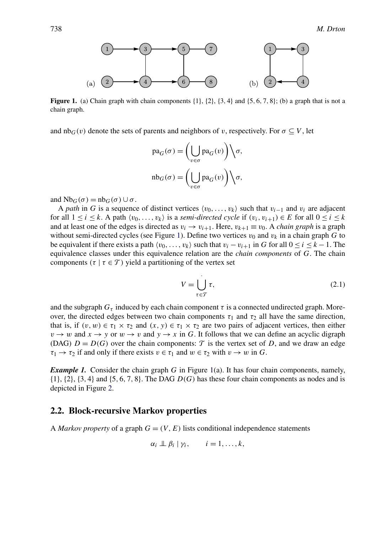<span id="page-2-0"></span>

**Figure 1.** (a) Chain graph with chain components {1}, {2}, {3*,* 4} and {5*,* 6*,* 7*,* 8}; (b) a graph that is not a chain graph.

and  $nb_G(v)$  denote the sets of parents and neighbors of *v*, respectively. For  $\sigma \subseteq V$ , let

$$
\begin{aligned} &\text{pa}_G(\sigma)=\biggl(\bigcup_{v\in\sigma}\text{pa}_G(v)\biggr)\Bigl\backslash\sigma,\\ &\text{nb}_G(\sigma)=\biggl(\bigcup_{v\in\sigma}\text{pa}_G(v)\biggr)\Bigl\backslash\sigma, \end{aligned}
$$

and  $Nb_G(\sigma) = nb_G(\sigma) \cup \sigma$ .

A *path* in *G* is a sequence of distinct vertices  $\langle v_0, \ldots, v_k \rangle$  such that  $v_{i-1}$  and  $v_i$  are adjacent for all  $1 \leq i \leq k$ . A path  $\langle v_0, \ldots, v_k \rangle$  is a *semi-directed cycle* if  $(v_i, v_{i+1}) \in E$  for all  $0 \leq i \leq k$ and at least one of the edges is directed as  $v_i \rightarrow v_{i+1}$ . Here,  $v_{k+1} \equiv v_0$ . A *chain graph* is a graph without semi-directed cycles (see Figure 1). Define two vertices  $v_0$  and  $v_k$  in a chain graph G to be equivalent if there exists a path  $\langle v_0, \ldots, v_k \rangle$  such that  $v_i - v_{i+1}$  in *G* for all  $0 \le i \le k - 1$ . The equivalence classes under this equivalence relation are the *chain components* of *G*. The chain components  $(\tau | \tau \in \mathcal{T})$  yield a partitioning of the vertex set

$$
V = \bigcup_{\tau \in \mathcal{T}} \tau,\tag{2.1}
$$

and the subgraph  $G<sub>\tau</sub>$  induced by each chain component  $\tau$  is a connected undirected graph. Moreover, the directed edges between two chain components  $\tau_1$  and  $\tau_2$  all have the same direction, that is, if  $(v, w) \in \tau_1 \times \tau_2$  and  $(x, y) \in \tau_1 \times \tau_2$  are two pairs of adjacent vertices, then either  $v \rightarrow w$  and  $x \rightarrow y$  or  $w \rightarrow v$  and  $y \rightarrow x$  in *G*. It follows that we can define an acyclic digraph (DAG)  $D = D(G)$  over the chain components:  $\mathcal T$  is the vertex set of *D*, and we draw an edge  $\tau_1 \rightarrow \tau_2$  if and only if there exists  $v \in \tau_1$  and  $w \in \tau_2$  with  $v \rightarrow w$  in *G*.

*Example 1.* Consider the chain graph *G* in Figure 1(a). It has four chain components, namely, {1}, {2}, {3*,* 4} and {5*,* 6*,* 7*,* 8}. The DAG *D(G)* has these four chain components as nodes and is depicted in Figure [2.](#page-3-0)

#### **2.2. Block-recursive Markov properties**

A *Markov property* of a graph  $G = (V, E)$  lists conditional independence statements

$$
\alpha_i \perp \!\!\!\perp \beta_i \mid \gamma_i, \qquad i = 1, \ldots, k,
$$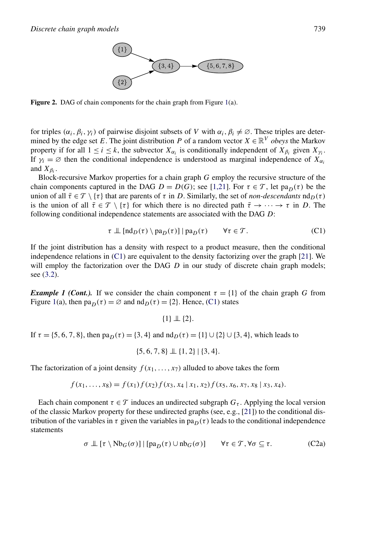

<span id="page-3-0"></span>**Figure 2.** DAG of chain components for the chain graph from Figure [1\(](#page-2-0)a).

for triples  $(\alpha_i, \beta_i, \gamma_i)$  of pairwise disjoint subsets of *V* with  $\alpha_i, \beta_i \neq \emptyset$ . These triples are determined by the edge set *E*. The joint distribution *P* of a random vector  $X \in \mathbb{R}^V$  *obeys* the Markov property if for all  $1 \le i \le k$ , the subvector  $X_{\alpha_i}$  is conditionally independent of  $X_{\beta_i}$  given  $X_{\gamma_i}$ . If  $\gamma_i = \emptyset$  then the conditional independence is understood as marginal independence of  $X_{\alpha_i}$ and  $X_{\beta_i}$ .

Block-recursive Markov properties for a chain graph *G* employ the recursive structure of the chain components captured in the DAG  $D = D(G)$ ; see [\[1,21\]](#page-16-0). For  $\tau \in \mathcal{T}$ , let pa<sub>D(</sub> $\tau$ ) be the union of all  $\bar{\tau} \in \mathcal{T} \setminus {\tau}$  that are parents of  $\tau$  in *D*. Similarly, the set of *non-descendants*  $nd_p(\tau)$ is the union of all  $\bar{\tau} \in \mathcal{T} \setminus {\tau}$  for which there is no directed path  $\bar{\tau} \to \cdots \to \tau$  in *D*. The following conditional independence statements are associated with the DAG *D*:

$$
\tau \perp \left[ \mathrm{nd}_D(\tau) \setminus \mathrm{pa}_D(\tau) \right] | \mathrm{pa}_D(\tau) \qquad \forall \tau \in \mathcal{T}.
$$
 (C1)

If the joint distribution has a density with respect to a product measure, then the conditional independence relations in (C1) are equivalent to the density factorizing over the graph [\[21\]](#page-17-0). We will employ the factorization over the DAG *D* in our study of discrete chain graph models; see [\(3.2\)](#page-6-0).

*Example 1 (Cont.).* If we consider the chain component  $\tau = \{1\}$  of the chain graph *G* from Figure [1\(](#page-2-0)a), then  $pa_D(\tau) = \emptyset$  and  $nd_D(\tau) = \{2\}$ . Hence, (C1) states

{1} ⊥⊥ {2}*.*

If *τ* = {5, 6, 7, 8}, then pa<sub>*D*</sub>(*τ*) = {3, 4} and  $nd<sub>D</sub>(τ) = {1} ∪ {2} ∪ {3, 4}$ , which leads to

{5*,* 6*,* 7*,* 8} ⊥⊥ {1*,* 2}|{3*,* 4}*.*

The factorization of a joint density  $f(x_1, \ldots, x_7)$  alluded to above takes the form

$$
f(x_1,...,x_8)=f(x_1)f(x_2)f(x_3,x_4\,|x_1,x_2)f(x_5,x_6,x_7,x_8\,|x_3,x_4).
$$

Each chain component  $\tau \in \mathcal{T}$  induces an undirected subgraph  $G_{\tau}$ . Applying the local version of the classic Markov property for these undirected graphs (see, e.g., [\[21\]](#page-17-0)) to the conditional distribution of the variables in  $\tau$  given the variables in pa<sub>D</sub>( $\tau$ ) leads to the conditional independence statements

$$
\sigma \perp \!\!\!\perp [\tau \setminus \mathrm{Nb}_G(\sigma)] \mid [pa_D(\tau) \cup nb_G(\sigma)] \qquad \forall \tau \in \mathcal{T}, \forall \sigma \subseteq \tau.
$$
 (C2a)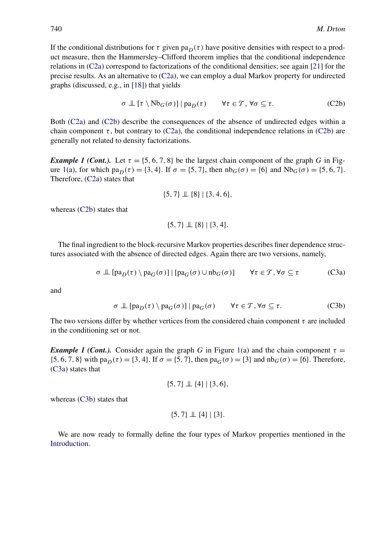<span id="page-4-0"></span>If the conditional distributions for  $\tau$  given pa<sub>D</sub>( $\tau$ ) have positive densities with respect to a product measure, then the Hammersley–Clifford theorem implies that the conditional independence relations in [\(C2a\)](#page-3-0) correspond to factorizations of the conditional densities; see again [\[21\]](#page-17-0) for the precise results. As an alternative to [\(C2a\)](#page-3-0), we can employ a dual Markov property for undirected graphs (discussed, e.g., in [\[18\]](#page-17-0)) that yields

$$
\sigma \perp \! \! \! \perp [\tau \setminus \mathrm{Nb}_G(\sigma)] \, | \, \mathrm{pa}_D(\tau) \qquad \forall \tau \in \mathcal{T}, \, \forall \sigma \subseteq \tau. \tag{C2b}
$$

Both [\(C2a\)](#page-3-0) and (C2b) describe the consequences of the absence of undirected edges within a chain component  $\tau$ , but contrary to [\(C2a\)](#page-3-0), the conditional independence relations in (C2b) are generally not related to density factorizations.

*Example 1 (Cont.).* Let  $\tau = \{5, 6, 7, 8\}$  be the largest chain component of the graph *G* in Fig-ure [1\(](#page-2-0)a), for which pa<sub>*D*</sub>(τ) = {3, 4}. If  $\sigma$  = {5, 7}, then  $nb_G(\sigma)$  = {6} and  $Nb_G(\sigma)$  = {5, 6, 7}. Therefore, [\(C2a\)](#page-3-0) states that

$$
\{5,7\} \perp \!\!\! \perp \{8\} | \{3,4,6\},
$$

whereas (C2b) states that

$$
\{5,7\} \perp \!\!\! \perp \{8\} \mid \{3,4\}.
$$

The final ingredient to the block-recursive Markov properties describes finer dependence structures associated with the absence of directed edges. Again there are two versions, namely,

$$
\sigma \perp \left[ pa_{D}(\tau) \setminus pa_{G}(\sigma) \right] \mid [pa_{G}(\sigma) \cup nb_{G}(\sigma)] \qquad \forall \tau \in \mathcal{T}, \forall \sigma \subseteq \tau
$$
 (C3a)

and

$$
\sigma \perp \left[ \text{pa}_{D}(\tau) \setminus \text{pa}_{G}(\sigma) \right] | \text{pa}_{G}(\sigma) \qquad \forall \tau \in \mathcal{T}, \forall \sigma \subseteq \tau. \tag{C3b}
$$

The two versions differ by whether vertices from the considered chain component  $\tau$  are included in the conditioning set or not.

*Example 1 (Cont.).* Consider again the graph *G* in Figure [1\(](#page-2-0)a) and the chain component  $\tau =$ {5*,* 6*,* 7*,* 8} with pa<sub>*D*</sub>( $\tau$ ) = {3*,* 4}. If  $\sigma$  = {5*,* 7}, then pa<sub>*G*</sub>( $\sigma$ ) = {3} and nb<sub>*G*</sub>( $\sigma$ ) = {6}. Therefore, (C3a) states that

$$
\{5,7\} \perp \!\!\!\perp \{4\} | \{3,6\},
$$

whereas (C3b) states that

$$
\{5,7\} \perp \!\!\! \perp \{4\} | \{3\}.
$$

We are now ready to formally define the four types of Markov properties mentioned in the [Introduction.](#page-0-0)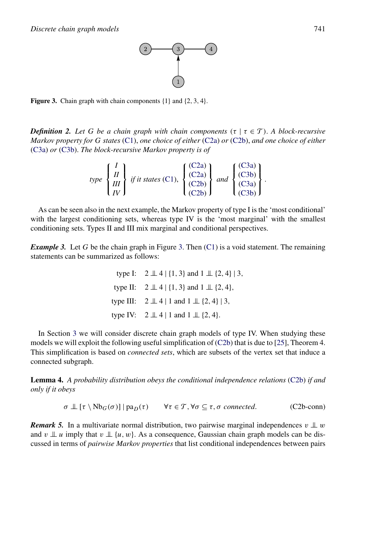

<span id="page-5-0"></span>**Figure 3.** Chain graph with chain components {1} and {2*,* 3*,* 4}.

*Definition 2. Let G be a chain graph with chain components* $(\tau | \tau \in \mathcal{T})$ **. A block-recursive** *Markov property for G states* [\(C1\)](#page-3-0), *one choice of either* [\(C2a\)](#page-3-0) *or* [\(C2b\)](#page-4-0), *and one choice of either* [\(C3a\)](#page-4-0) *or* [\(C3b\)](#page-4-0). *The block-recursive Markov property is of*

$$
type \begin{Bmatrix} I \\ II \\ III \\ IV \end{Bmatrix} if it states (C1), \begin{Bmatrix} (C2a) \\ (C2a) \\ (C2b) \\ (C2b) \end{Bmatrix} and \begin{Bmatrix} (C3a) \\ (C3b) \\ (C3a) \\ (C3b) \end{Bmatrix}.
$$

As can be seen also in the next example, the Markov property of type I is the 'most conditional' with the largest conditioning sets, whereas type IV is the 'most marginal' with the smallest conditioning sets. Types II and III mix marginal and conditional perspectives.

*Example 3.* Let *G* be the chain graph in Figure 3. Then [\(C1\)](#page-3-0) is a void statement. The remaining statements can be summarized as follows:

> type I:  $2 \perp 4$  | {1, 3} and  $1 \perp 2$ , 4} | 3, type II:  $2 \perp 4$  | {1*,* 3} and  $1 \perp 2$ , 4}*,* type III:  $2 \perp 4 \mid 1$  and  $1 \perp \!\!\! \perp \{2, 4\} \mid 3$ , type IV:  $2 \perp 4 \mid 1$  and  $1 \perp \!\!\!\perp \{2, 4\}.$

In Section [3](#page-6-0) we will consider discrete chain graph models of type IV. When studying these models we will exploit the following useful simplification of [\(C2b\)](#page-4-0) that is due to [\[25\]](#page-17-0), Theorem 4. This simplification is based on *connected sets*, which are subsets of the vertex set that induce a connected subgraph.

**Lemma 4.** *A probability distribution obeys the conditional independence relations* [\(C2b\)](#page-4-0) *if and only if it obeys*

$$
\sigma \perp \! \! \! \perp [\tau \setminus \text{Nb}_G(\sigma)] \mid pa_D(\tau) \qquad \forall \tau \in \mathcal{T}, \forall \sigma \subseteq \tau, \sigma \text{ connected.} \qquad (C2b\text{-conn})
$$

*Remark 5.* In a multivariate normal distribution, two pairwise marginal independences  $v \perp w$ and *v*  $\perp \!\!\!\perp u$  imply that *v*  $\perp \!\!\!\perp \{u, w\}$ . As a consequence, Gaussian chain graph models can be discussed in terms of *pairwise Markov properties* that list conditional independences between pairs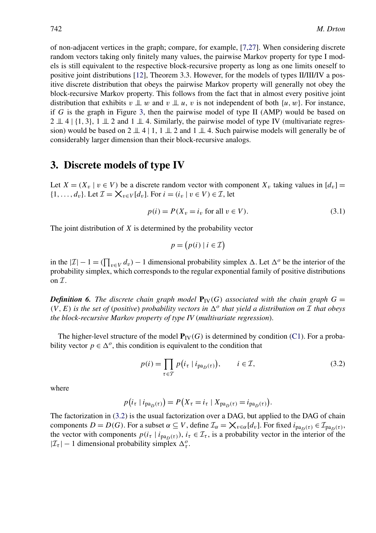<span id="page-6-0"></span>of non-adjacent vertices in the graph; compare, for example, [\[7,27\]](#page-16-0). When considering discrete random vectors taking only finitely many values, the pairwise Markov property for type I models is still equivalent to the respective block-recursive property as long as one limits oneself to positive joint distributions [\[12\]](#page-17-0), Theorem 3.3. However, for the models of types II/III/IV a positive discrete distribution that obeys the pairwise Markov property will generally not obey the block-recursive Markov property. This follows from the fact that in almost every positive joint distribution that exhibits  $v \perp w$  and  $v \perp u$ , *v* is not independent of both  $\{u, w\}$ . For instance, if *G* is the graph in Figure [3,](#page-5-0) then the pairwise model of type II (AMP) would be based on  $2 \perp 4$  | {1, 3}, 1  $\perp \!\!\! \perp 2$  and 1  $\perp \!\!\! \perp 4$ . Similarly, the pairwise model of type IV (multivariate regression) would be based on  $2 \perp 4 \mid 1, 1 \perp 2$  and  $1 \perp 4$ . Such pairwise models will generally be of considerably larger dimension than their block-recursive analogs.

# **3. Discrete models of type IV**

Let  $X = (X_v | v \in V)$  be a discrete random vector with component  $X_v$  taking values in  $[d_v] =$  $\{1,\ldots,d_v\}$ . Let  $\mathcal{I} = \mathsf{X}_{v \in V}[d_v]$ . For  $i = (i_v | v \in V) \in \mathcal{I}$ , let

$$
p(i) = P(X_v = i_v \text{ for all } v \in V).
$$
\n(3.1)

The joint distribution of *X* is determined by the probability vector

$$
p = (p(i) | i \in \mathcal{I})
$$

in the  $|I| - 1 = (\prod_{v \in V} d_v) - 1$  dimensional probability simplex  $\Delta$ . Let  $\Delta^o$  be the interior of the probability simplex, which corresponds to the regular exponential family of positive distributions on  $\mathcal{I}$ .

*Definition 6. The discrete chain graph model* $P_V(G)$ *associated with the chain graph* $G =$  $(V, E)$  *is the set of (positive) probability vectors in*  $\Delta^o$  *that yield a distribution on I that obeys the block-recursive Markov property of type IV* (*multivariate regression*).

The higher-level structure of the model  $P_V(G)$  is determined by condition [\(C1\)](#page-3-0). For a probability vector  $p \in \Delta^o$ , this condition is equivalent to the condition that

$$
p(i) = \prod_{\tau \in \mathcal{T}} p(i_{\tau} \mid i_{\text{pa}_D(\tau)}), \qquad i \in \mathcal{I},
$$
\n(3.2)

*.*

where

$$
p(i_{\tau} | i_{\text{pa}_D(\tau)}) = P(X_{\tau} = i_{\tau} | X_{\text{pa}_D(\tau)} = i_{\text{pa}_D(\tau)})
$$

The factorization in (3.2) is the usual factorization over a DAG, but applied to the DAG of chain components  $D = D(G)$ . For a subset  $\alpha \subseteq V$ , define  $\mathcal{I}_{\alpha} = \mathsf{X}_{v \in \alpha}[d_v]$ . For fixed  $i_{\text{pa}_D(\tau)} \in \mathcal{I}_{\text{pa}_D(\tau)}$ , the vector with components  $p(i_\tau | i_{\text{pa}_D(\tau)})$ ,  $i_\tau \in \mathcal{I}_\tau$ , is a probability vector in the interior of the  $|\mathcal{I}_{\tau}| - 1$  dimensional probability simplex  $\Delta_{\tau}^o$ .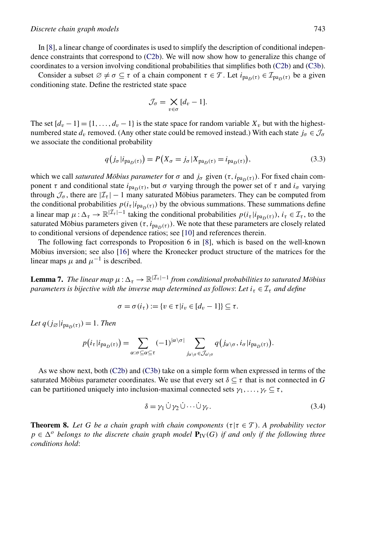#### <span id="page-7-0"></span>*Discrete chain graph models* 743

In [\[8\]](#page-16-0), a linear change of coordinates is used to simplify the description of conditional independence constraints that correspond to [\(C2b\)](#page-4-0). We will now show how to generalize this change of coordinates to a version involving conditional probabilities that simplifies both [\(C2b\)](#page-4-0) and [\(C3b\)](#page-4-0).

Consider a subset  $\emptyset \neq \sigma \subseteq \tau$  of a chain component  $\tau \in \mathcal{T}$ . Let  $i_{pa_n(\tau)} \in \mathcal{I}_{pa_n(\tau)}$  be a given conditioning state. Define the restricted state space

$$
\mathcal{J}_{\sigma} = \bigtimes_{v \in \sigma} [d_v - 1].
$$

The set  $[d_v - 1] = \{1, \ldots, d_v - 1\}$  is the state space for random variable  $X_v$  but with the highestnumbered state  $d<sub>v</sub>$  removed. (Any other state could be removed instead.) With each state  $j<sub>\sigma</sub> \in \mathcal{J}<sub>\sigma</sub>$ we associate the conditional probability

$$
q(j_{\sigma}|i_{\text{pa}_D(\tau)}) = P(X_{\sigma} = j_{\sigma}|X_{\text{pa}_D(\tau)} = i_{\text{pa}_D(\tau)}),
$$
\n(3.3)

which we call *saturated Möbius parameter* for  $\sigma$  and  $j_{\sigma}$  given  $(\tau, i_{\text{pa}_D(\tau)})$ . For fixed chain component *τ* and conditional state  $i_{pa_D(\tau)}$ , but *σ* varying through the power set of *τ* and  $i_{\sigma}$  varying through  $\mathcal{J}_{\sigma}$ , there are  $|\mathcal{I}_{\tau}| - 1$  many saturated Möbius parameters. They can be computed from the conditional probabilities  $p(i_\tau | i_{\text{pa}_D(\tau)})$  by the obvious summations. These summations define a linear map  $\mu : \Delta_{\tau} \to \mathbb{R}^{|\mathcal{I}_{\tau}|-1}$  taking the conditional probabilities  $p(i_{\tau}|i_{pa_{D}(\tau)})$ ,  $i_{\tau} \in \mathcal{I}_{\tau}$ , to the saturated Möbius parameters given  $(\tau, i_{pa_D(\tau)})$ . We note that these parameters are closely related to conditional versions of dependence ratios; see [\[10\]](#page-17-0) and references therein.

The following fact corresponds to Proposition 6 in [\[8\]](#page-16-0), which is based on the well-known Möbius inversion; see also [\[16\]](#page-17-0) where the Kronecker product structure of the matrices for the linear maps  $\mu$  and  $\mu^{-1}$  is described.

**Lemma 7.** *The linear map*  $\mu$ :  $\Delta_{\tau} \to \mathbb{R}^{|\mathcal{I}_{\tau}|-1}$  *from conditional probabilities to saturated Möbius parameters is bijective with the inverse map determined as follows: Let*  $i_{\tau} \in I_{\tau}$  *and define* 

$$
\sigma = \sigma(i_{\tau}) := \{v \in \tau | i_v \in [d_v - 1]\} \subseteq \tau.
$$

*Let*  $q(j_{\emptyset}|i_{\text{pa}_D(\tau)}) = 1$ . *Then* 

$$
p(i_{\tau}|i_{\text{pa}_D(\tau)}) = \sum_{\alpha:\sigma \subseteq \alpha \subseteq \tau} (-1)^{|\alpha \setminus \sigma|} \sum_{j_{\alpha \setminus \sigma} \in \mathcal{J}_{\alpha \setminus \sigma}} q(j_{\alpha \setminus \sigma}, i_{\sigma}|i_{\text{pa}_D(\tau)}).
$$

As we show next, both [\(C2b\)](#page-4-0) and [\(C3b\)](#page-4-0) take on a simple form when expressed in terms of the saturated Möbius parameter coordinates. We use that every set  $\delta \subseteq \tau$  that is not connected in *G* can be partitioned uniquely into inclusion-maximal connected sets  $\gamma_1, \ldots, \gamma_r \subseteq \tau$ ,

$$
\delta = \gamma_1 \dot{\cup} \gamma_2 \dot{\cup} \cdots \dot{\cup} \gamma_r. \tag{3.4}
$$

**Theorem 8.** Let G be a chain graph with chain components  $(\tau | \tau \in \mathcal{T})$ . A probability vector  $p \in \Delta^o$  *belongs to the discrete chain graph model*  $P_{\text{IV}}(G)$  *if and only if the following three conditions hold*: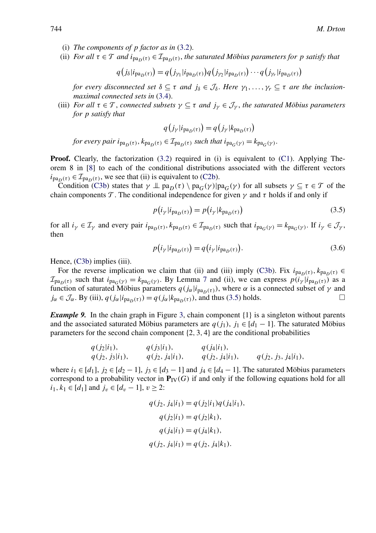- (i) *The components of p factor as in* [\(3.2\)](#page-6-0).
- (ii) *For all*  $\tau \in \mathcal{T}$  *and*  $i_{\text{pa}_\text{D}(\tau)} \in \mathcal{I}_{\text{pa}_\text{D}(\tau)}$ , *the saturated Möbius parameters for p satisfy that*

$$
q(j_{\delta}|i_{\text{pa}_D(\tau)}) = q(j_{\gamma_1}|i_{\text{pa}_D(\tau)})q(j_{\gamma_2}|i_{\text{pa}_D(\tau)})\cdots q(j_{\gamma_r}|i_{\text{pa}_D(\tau)})
$$

*for every disconnected set*  $\delta \subseteq \tau$  *and*  $j_{\delta} \in \mathcal{J}_{\delta}$ . Here  $\gamma_1, \ldots, \gamma_r \subseteq \tau$  *are the inclusionmaximal connected sets in* [\(3.4\)](#page-7-0).

(iii) *For all*  $\tau \in \mathcal{T}$ , *connected subsets*  $\gamma \subseteq \tau$  *and*  $j_{\gamma} \in \mathcal{J}_{\gamma}$ , *the saturated Möbius parameters for p satisfy that*

$$
q(j_{\gamma}|i_{\text{pa}_D(\tau)}) = q(j_{\gamma}|k_{\text{pa}_D(\tau)})
$$

*for every pair*  $i_{pa_D(\tau)}, k_{pa_D(\tau)} \in I_{pa_D(\tau)}$  *such that*  $i_{pa_G(\gamma)} = k_{pa_G(\gamma)}$ .

**Proof.** Clearly, the factorization [\(3.2\)](#page-6-0) required in (i) is equivalent to [\(C1\)](#page-3-0). Applying Theorem 8 in [\[8\]](#page-16-0) to each of the conditional distributions associated with the different vectors  $i_{pa_D(\tau)} \in \mathcal{I}_{pa_D(\tau)}$ , we see that (ii) is equivalent to [\(C2b\)](#page-4-0).

Condition [\(C3b\)](#page-4-0) states that  $\gamma \perp \mathfrak{p}$  $a_D(\tau) \setminus \mathfrak{p}$  $a_G(\gamma)$  [pa $_G(\gamma)$  for all subsets  $\gamma \subseteq \tau \in \mathcal{T}$  of the chain components  $\mathcal T$ . The conditional independence for given  $\gamma$  and  $\tau$  holds if and only if

$$
p(i_{\gamma}|i_{\text{pa}_D(\tau)}) = p(i_{\gamma}|k_{\text{pa}_D(\tau)})
$$
\n(3.5)

for all  $i_\gamma \in \mathcal{I}_\gamma$  and every pair  $i_{pa_D(\tau)}, k_{pa_D(\tau)} \in \mathcal{I}_{pa_D(\tau)}$  such that  $i_{pa_G(\gamma)} = k_{pa_G(\gamma)}$ . If  $i_\gamma \in \mathcal{J}_\gamma$ , then

$$
p(i_{\gamma}|i_{\text{pa}_D(\tau)}) = q(i_{\gamma}|i_{\text{pa}_D(\tau)}).
$$
\n(3.6)

Hence,  $(C3b)$  implies (iii).

For the reverse implication we claim that (ii) and (iii) imply [\(C3b\)](#page-4-0). Fix  $i_{pa_D(\tau)}, k_{pa_D(\tau)} \in$  $\mathcal{I}_{pa_D(\tau)}$  such that  $i_{pa_G(\gamma)} = k_{pa_G(\gamma)}$ . By Lemma [7](#page-7-0) and (ii), we can express  $p(i_\gamma|i_{pa_D(\tau)})$  as a function of saturated Möbius parameters  $q(j_\alpha|i_{pa_D(\tau)})$ , where  $\alpha$  is a connected subset of  $\gamma$  and  $i_\alpha \in \mathcal{J}_\alpha$ . By (iii),  $q(i_\alpha|i_{pa_D(\tau)}) = q(i_\alpha|k_{pa_D(\tau)})$ , and thus (3.5) holds.  $j_{\alpha} \in \mathcal{J}_{\alpha}$ . By (iii),  $q(j_{\alpha}|i_{pa_{D}(\tau)}) = q(j_{\alpha}|k_{pa_{D}(\tau)})$ , and thus (3.5) holds.

*Example 9.* In the chain graph in Figure [3,](#page-5-0) chain component {1} is a singleton without parents and the associated saturated Möbius parameters are  $q(i_1), i_1 \in [d_1 - 1]$ . The saturated Möbius parameters for the second chain component {2*,* 3*,* 4} are the conditional probabilities

$$
q(j_2|i_1),
$$
  $q(j_3|i_1),$   $q(j_4|i_1),$   $q(j_2, j_3|i_1),$   $q(j_2, j_4|i_1),$   $q(j_2, j_4|i_1),$   $q(j_2, j_3, j_4|i_1),$ 

where  $i_1 \in [d_1]$ ,  $j_2 \in [d_2 - 1]$ ,  $j_3 \in [d_3 - 1]$  and  $j_4 \in [d_4 - 1]$ . The saturated Möbius parameters correspond to a probability vector in  $P_{IV}(G)$  if and only if the following equations hold for all *i*<sub>1</sub>*, k*<sub>1</sub> ∈ [*d*<sub>1</sub>] and *j<sub>v</sub>* ∈ [*d<sub>v</sub>* − 1]*, v* ≥ 2:

$$
q(j_2, j_4|i_1) = q(j_2|i_1)q(j_4|i_1),
$$
  
\n
$$
q(j_2|i_1) = q(j_2|k_1),
$$
  
\n
$$
q(j_4|i_1) = q(j_4|k_1),
$$
  
\n
$$
q(j_2, j_4|i_1) = q(j_2, j_4|k_1).
$$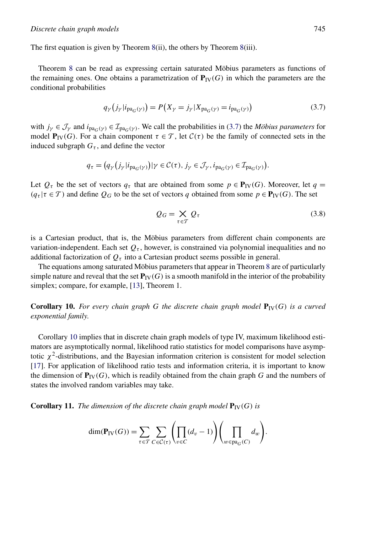<span id="page-9-0"></span>The first equation is given by Theorem [8\(](#page-7-0)ii), the others by Theorem [8\(](#page-7-0)iii).

Theorem [8](#page-7-0) can be read as expressing certain saturated Möbius parameters as functions of the remaining ones. One obtains a parametrization of  $P_{\text{IV}}(G)$  in which the parameters are the conditional probabilities

$$
q_{\gamma}(j_{\gamma}|i_{\text{pa}_{G}(\gamma)}) = P(X_{\gamma} = j_{\gamma}|X_{\text{pa}_{G}(\gamma)} = i_{\text{pa}_{G}(\gamma)})
$$
\n(3.7)

with  $j_{\gamma} \in \mathcal{J}_{\gamma}$  and  $i_{pa_G(\gamma)} \in \mathcal{I}_{pa_G(\gamma)}$ . We call the probabilities in (3.7) the *Möbius parameters* for model **P**<sub>IV</sub>(G). For a chain component  $τ ∈ T$ , let  $C(τ)$  be the family of connected sets in the induced subgraph  $G<sub>\tau</sub>$ , and define the vector

$$
q_{\tau} = (q_{\gamma}(j_{\gamma}|i_{\text{pa}_{G}(\gamma)})| \gamma \in C(\tau), j_{\gamma} \in \mathcal{J}_{\gamma}, i_{\text{pa}_{G}(\gamma)} \in \mathcal{I}_{\text{pa}_{G}(\gamma)}).
$$

Let  $Q_{\tau}$  be the set of vectors  $q_{\tau}$  that are obtained from some  $p \in \mathbf{P}_V(G)$ . Moreover, let  $q =$  $(q_{\tau} | \tau \in \mathcal{T})$  and define  $Q_G$  to be the set of vectors *q* obtained from some  $p \in \mathbf{P}_V(G)$ . The set

$$
Q_G = \underset{\tau \in \mathcal{T}}{\times} Q_{\tau} \tag{3.8}
$$

is a Cartesian product, that is, the Möbius parameters from different chain components are variation-independent. Each set  $Q_{\tau}$ , however, is constrained via polynomial inequalities and no additional factorization of  $Q<sub>\tau</sub>$  into a Cartesian product seems possible in general.

The equations among saturated Möbius parameters that appear in Theorem [8](#page-7-0) are of particularly simple nature and reveal that the set  $P_{IV}(G)$  is a smooth manifold in the interior of the probability simplex; compare, for example, [\[13\]](#page-17-0), Theorem 1.

**Corollary 10.** For every chain graph G the discrete chain graph model  $P_{\text{IV}}(G)$  is a curved *exponential family*.

Corollary 10 implies that in discrete chain graph models of type IV, maximum likelihood estimators are asymptotically normal, likelihood ratio statistics for model comparisons have asymptotic  $\chi^2$ -distributions, and the Bayesian information criterion is consistent for model selection [\[17\]](#page-17-0). For application of likelihood ratio tests and information criteria, it is important to know the dimension of  $P_{IV}(G)$ , which is readily obtained from the chain graph *G* and the numbers of states the involved random variables may take.

**Corollary 11.** *The dimension of the discrete chain graph model*  $P_{IV}(G)$  *is* 

$$
\dim(\mathbf{P}_{\text{IV}}(G)) = \sum_{\tau \in \mathcal{T}} \sum_{C \in \mathcal{C}(\tau)} \left( \prod_{v \in C} (d_v - 1) \right) \left( \prod_{w \in \text{pa}_G(C)} d_w \right).
$$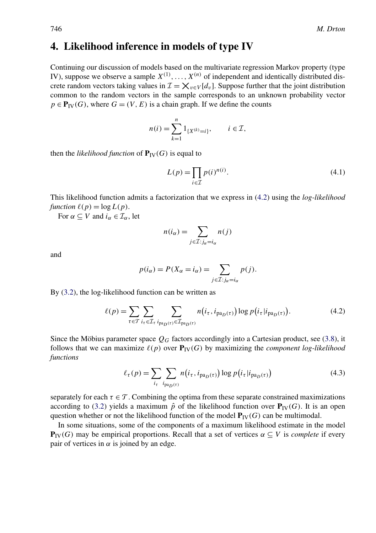# <span id="page-10-0"></span>**4. Likelihood inference in models of type IV**

Continuing our discussion of models based on the multivariate regression Markov property (type IV), suppose we observe a sample  $X^{(1)}, \ldots, X^{(n)}$  of independent and identically distributed discrete random vectors taking values in  $\mathcal{I} = \mathsf{X}_{v \in V}[d_v]$ . Suppose further that the joint distribution common to the random vectors in the sample corresponds to an unknown probability vector  $p \in \mathbf{P}_W(G)$ , where  $G = (V, E)$  is a chain graph. If we define the counts

$$
n(i) = \sum_{k=1}^{n} 1_{\{X^{(k)} = i\}}, \qquad i \in \mathcal{I},
$$

then the *likelihood function* of  $P_{IV}(G)$  is equal to

$$
L(p) = \prod_{i \in \mathcal{I}} p(i)^{n(i)}.
$$
\n(4.1)

This likelihood function admits a factorization that we express in (4.2) using the *log-likelihood*  $function \ell(p) = log L(p).$ 

For  $\alpha \subseteq V$  and  $i_{\alpha} \in \mathcal{I}_{\alpha}$ , let

$$
n(i_{\alpha}) = \sum_{j \in \mathcal{I}: j_{\alpha} = i_{\alpha}} n(j)
$$

and

$$
p(i_{\alpha}) = P(X_{\alpha} = i_{\alpha}) = \sum_{j \in \mathcal{I}: j_{\alpha} = i_{\alpha}} p(j).
$$

By [\(3.2\)](#page-6-0), the log-likelihood function can be written as

$$
\ell(p) = \sum_{\tau \in \mathcal{T}} \sum_{i_{\tau} \in \mathcal{I}_{\tau}} \sum_{i_{\text{pa}_D(\tau)} \in \mathcal{I}_{\text{pa}_D(\tau)}} n(i_{\tau}, i_{\text{pa}_D(\tau)}) \log p(i_{\tau} | i_{\text{pa}_D(\tau)}).
$$
(4.2)

Since the Möbius parameter space  $Q_G$  factors accordingly into a Cartesian product, see [\(3.8\)](#page-9-0), it follows that we can maximize  $\ell(p)$  over  $P_{IV}(G)$  by maximizing the *component log-likelihood functions*

$$
\ell_{\tau}(p) = \sum_{i_{\tau}} \sum_{i_{\text{pa}_D(\tau)}} n(i_{\tau}, i_{\text{pa}_D(\tau)}) \log p(i_{\tau} | i_{\text{pa}_D(\tau)}) \tag{4.3}
$$

separately for each  $\tau \in \mathcal{T}$ . Combining the optima from these separate constrained maximizations according to [\(3.2\)](#page-6-0) yields a maximum  $\hat{p}$  of the likelihood function over  $P_{IV}(G)$ . It is an open question whether or not the likelihood function of the model  $P_{IV}(G)$  can be multimodal.

In some situations, some of the components of a maximum likelihood estimate in the model **P**<sub>IV</sub>(G) may be empirical proportions. Recall that a set of vertices  $\alpha \subseteq V$  is *complete* if every pair of vertices in  $\alpha$  is joined by an edge.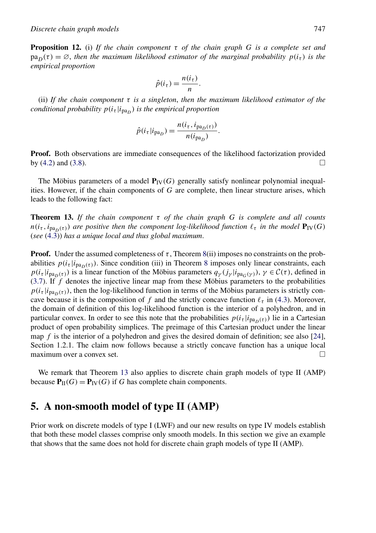<span id="page-11-0"></span>**Proposition 12.** (i) *If the chain component τ of the chain graph G is a complete set and*  $pa_D(\tau) = \emptyset$ , *then the maximum likelihood estimator of the marginal probability*  $p(i_\tau)$  *is the empirical proportion*

$$
\hat{p}(i_{\tau}) = \frac{n(i_{\tau})}{n}.
$$

(ii) *If the chain component τ is a singleton*, *then the maximum likelihood estimator of the conditional probability*  $p(i_\tau | i_{\text{pa}_D})$  *is the empirical proportion* 

$$
\hat{p}(i_{\tau}|i_{\text{pa}_D}) = \frac{n(i_{\tau}, i_{\text{pa}_D(\tau)})}{n(i_{\text{pa}_D})}.
$$

**Proof.** Both observations are immediate consequences of the likelihood factorization provided by [\(4.2\)](#page-10-0) and [\(3.8\)](#page-9-0).

The Möbius parameters of a model  $P_{IV}(G)$  generally satisfy nonlinear polynomial inequalities. However, if the chain components of *G* are complete, then linear structure arises, which leads to the following fact:

**Theorem 13.** *If the chain component τ of the chain graph G is complete and all counts*  $n(i_{\tau}, i_{pa_D(\tau)})$  are positive then the component log-likelihood function  $\ell_{\tau}$  in the model  $P_{IV}(G)$ (*see* [\(4.3\)](#page-10-0)) *has a unique local and thus global maximum*.

**Proof.** Under the assumed completeness of  $\tau$ , Theorem [8\(](#page-7-0)ii) imposes no constraints on the probabilities  $p(i_{\tau}|i_{\text{pa}_D(\tau)})$ . Since condition (iii) in Theorem [8](#page-7-0) imposes only linear constraints, each  $p(i_\tau | i_{pa_D(\tau)})$  is a linear function of the Möbius parameters  $q_\gamma(j_\gamma | i_{pa_G(\gamma)})$ ,  $\gamma \in C(\tau)$ , defined in [\(3.7\)](#page-9-0). If *f* denotes the injective linear map from these Möbius parameters to the probabilities  $p(i_\tau|i_{\text{pa}_D(\tau)})$ , then the log-likelihood function in terms of the Möbius parameters is strictly concave because it is the composition of  $f$  and the strictly concave function  $\ell_{\tau}$  in [\(4.3\)](#page-10-0). Moreover, the domain of definition of this log-likelihood function is the interior of a polyhedron, and in particular convex. In order to see this note that the probabilities  $p(i_\tau|i_{\text{pa}_D(\tau)})$  lie in a Cartesian product of open probability simplices. The preimage of this Cartesian product under the linear map *f* is the interior of a polyhedron and gives the desired domain of definition; see also [\[24\]](#page-17-0), Section 1.2.1. The claim now follows because a strictly concave function has a unique local maximum over a convex set.  $\Box$ 

We remark that Theorem 13 also applies to discrete chain graph models of type II (AMP) because  $P_{\text{II}}(G) = P_{\text{IV}}(G)$  if *G* has complete chain components.

# **5. A non-smooth model of type II (AMP)**

Prior work on discrete models of type I (LWF) and our new results on type IV models establish that both these model classes comprise only smooth models. In this section we give an example that shows that the same does not hold for discrete chain graph models of type II (AMP).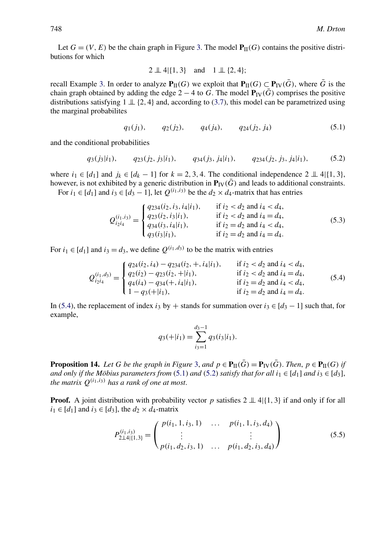<span id="page-12-0"></span>Let  $G = (V, E)$  be the chain graph in Figure [3.](#page-5-0) The model  $P_{II}(G)$  contains the positive distributions for which

$$
2 \perp\!\!\!\perp 4 | \{1, 3\}
$$
 and  $1 \perp\!\!\!\perp \{2, 4\};$ 

recall Example [3.](#page-5-0) In order to analyze  $P_{II}(G)$  we exploit that  $P_{II}(G) \subset P_{IV}(\bar{G})$ , where  $\bar{G}$  is the chain graph obtained by adding the edge 2 – 4 to *G*. The model  $P_{\text{IV}}(\bar{G})$  comprises the positive distributions satisfying  $1 \perp \!\!\!\perp \{2, 4\}$  and, according to [\(3.7\)](#page-9-0), this model can be parametrized using the marginal probabilites

$$
q_1(j_1), \t q_2(j_2), \t q_4(j_4), \t q_{24}(j_2, j_4)
$$
 (5.1)

and the conditional probabilities

$$
q_3(j_3|i_1), \t q_{23}(j_2, j_3|i_1), \t q_{34}(j_3, j_4|i_1), \t q_{234}(j_2, j_3, j_4|i_1), \t (5.2)
$$

where  $i_1 \in [d_1]$  and  $j_k \in [d_k - 1]$  for  $k = 2, 3, 4$ . The conditional independence  $2 \perp 4$ |{1*,* 3}, however, is not exhibited by a generic distribution in  $P_{IV}(G)$  and leads to additional constraints.

For  $i_1 \in [d_1]$  and  $i_3 \in [d_3 - 1]$ , let  $Q^{(i_1, i_3)}$  be the  $d_2 \times d_4$ -matrix that has entries

$$
Q_{i_2 i_4}^{(i_1, i_3)} = \begin{cases} q_{234}(i_2, i_3, i_4|i_1), & \text{if } i_2 < d_2 \text{ and } i_4 < d_4, \\ q_{23}(i_2, i_3|i_1), & \text{if } i_2 < d_2 \text{ and } i_4 = d_4, \\ q_{34}(i_3, i_4|i_1), & \text{if } i_2 = d_2 \text{ and } i_4 < d_4, \\ q_3(i_3|i_1), & \text{if } i_2 = d_2 \text{ and } i_4 = d_4. \end{cases}
$$
(5.3)

For  $i_1 \in [d_1]$  and  $i_3 = d_3$ , we define  $Q^{(i_1, d_3)}$  to be the matrix with entries

$$
Q_{i_2i_4}^{(i_1,d_3)} = \begin{cases} q_{24}(i_2,i_4) - q_{234}(i_2,+,i_4|i_1), & \text{if } i_2 < d_2 \text{ and } i_4 < d_4, \\ q_2(i_2) - q_{23}(i_2, +|i_1), & \text{if } i_2 < d_2 \text{ and } i_4 = d_4, \\ q_4(i_4) - q_{34}(+,i_4|i_1), & \text{if } i_2 = d_2 \text{ and } i_4 < d_4, \\ 1 - q_{3}(+|i_1), & \text{if } i_2 = d_2 \text{ and } i_4 = d_4. \end{cases}
$$
(5.4)

In (5.4), the replacement of index *i*<sub>3</sub> by + stands for summation over *i*<sub>3</sub> ∈  $[d_3 - 1]$  such that, for example,

$$
q_3(+|i_1) = \sum_{i_3=1}^{d_3-1} q_3(i_3|i_1).
$$

**Proposition 14.** *Let G be the graph in Figure* [3,](#page-5-0) and  $p \in \mathbf{P}_{\Pi}(\bar{G}) = \mathbf{P}_{\text{IV}}(\bar{G})$ . *Then,*  $p \in \mathbf{P}_{\Pi}(G)$  *if and only if the Möbius parameters from* (5.1) *and* (5.2) *satisfy that for all*  $i_1 \in [d_1]$  *and*  $i_3 \in [d_3]$ , *the matrix*  $Q^{(i_1,i_3)}$  *has a rank of one at most.* 

**Proof.** A joint distribution with probability vector *p* satisfies  $2 \perp 4$ |{1, 3} if and only if for all  $i_1 \in [d_1]$  and  $i_3 \in [d_3]$ , the  $d_2 \times d_4$ -matrix

$$
P_{2\perp 4|\{1,3\}}^{(i_1,i_3)} = \begin{pmatrix} p(i_1, 1, i_3, 1) & \dots & p(i_1, 1, i_3, d_4) \\ \vdots & & \vdots \\ p(i_1, d_2, i_3, 1) & \dots & p(i_1, d_2, i_3, d_4) \end{pmatrix}
$$
(5.5)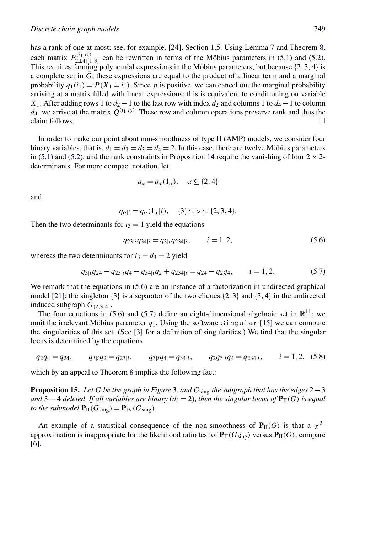<span id="page-13-0"></span>has a rank of one at most; see, for example, [\[24\]](#page-17-0), Section 1.5. Using Lemma [7](#page-7-0) and Theorem [8,](#page-7-0) each matrix  $P_{2\perp 4|\{1,3\}}^{(i_1,i_3)}$  can be rewritten in terms of the Möbius parameters in [\(5.1\)](#page-12-0) and [\(5.2\)](#page-12-0). This requires forming polynomial expressions in the Möbius parameters, but because {2*,* 3*,* 4} is a complete set in  $\bar{G}$ , these expressions are equal to the product of a linear term and a marginal probability  $q_1(i_1) = P(X_1 = i_1)$ . Since p is positive, we can cancel out the marginal probability arriving at a matrix filled with linear expressions; this is equivalent to conditioning on variable *X*<sub>1</sub>. After adding rows 1 to  $d_2 - 1$  to the last row with index  $d_2$  and columns 1 to  $d_4 - 1$  to column  $d_4$ , we arrive at the matrix  $Q^{(i_1,i_3)}$ . These row and column operations preserve rank and thus the claim follows.  $\Box$ 

In order to make our point about non-smoothness of type II (AMP) models, we consider four binary variables, that is,  $d_1 = d_2 = d_3 = d_4 = 2$ . In this case, there are twelve Möbius parameters in [\(5.1\)](#page-12-0) and [\(5.2\)](#page-12-0), and the rank constraints in Proposition [14](#page-12-0) require the vanishing of four  $2 \times 2$ determinants. For more compact notation, let

$$
q_{\alpha} = q_{\alpha}(1_{\alpha}), \quad \alpha \subseteq \{2, 4\}
$$

and

$$
q_{\alpha|i} = q_{\alpha}(1_{\alpha}|i), \quad \{3\} \subseteq \alpha \subseteq \{2, 3, 4\}.
$$

Then the two determinants for  $i_3 = 1$  yield the equations

$$
q_{23|i}q_{34|i} = q_{3|i}q_{234|i}, \qquad i = 1, 2,
$$
\n
$$
(5.6)
$$

whereas the two determinants for  $i_3 = d_3 = 2$  yield

$$
q_{3|i}q_{24} - q_{23|i}q_4 - q_{34|i}q_2 + q_{234|i} = q_{24} - q_{2}q_4, \qquad i = 1, 2. \tag{5.7}
$$

We remark that the equations in  $(5.6)$  are an instance of a factorization in undirected graphical model [\[21\]](#page-17-0): the singleton {3} is a separator of the two cliques {2*,* 3} and {3*,* 4} in the undirected induced subgraph *G*{2*,*3*,*4}.

The four equations in (5.6) and (5.7) define an eight-dimensional algebraic set in  $\mathbb{R}^{11}$ ; we omit the irrelevant Möbius parameter  $q_1$ . Using the software Singular [\[15\]](#page-17-0) we can compute the singularities of this set. (See [\[3\]](#page-16-0) for a definition of singularities.) We find that the singular locus is determined by the equations

$$
q_2q_4 = q_{24}
$$
,  $q_{3|i}q_2 = q_{23|i}$ ,  $q_{3|i}q_4 = q_{34|i}$ ,  $q_{2}q_{3|i}q_4 = q_{234|i}$ ,  $i = 1, 2, (5.8)$ 

which by an appeal to Theorem [8](#page-7-0) implies the following fact:

**Proposition 15.** *Let G be the graph in Figure* [3,](#page-5-0) *and G*sing *the subgraph that has the edges* 2−3 *and* 3 − 4 *deleted. If all variables are binary* ( $d_i = 2$ ), *then the singular locus of*  $P_{II}(G)$  *is equal to the submodel*  $P_{II}(G_{sing}) = P_{IV}(G_{sing})$ .

An example of a statistical consequence of the non-smoothness of  $P_{II}(G)$  is that a  $\chi^2$ approximation is inappropriate for the likelihood ratio test of  $P_{II}(G_{sing})$  versus  $P_{II}(G)$ ; compare [\[6\]](#page-16-0).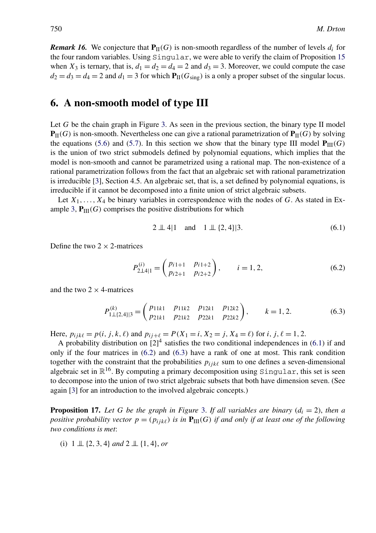<span id="page-14-0"></span>*Remark 16.* We conjecture that  $P_{II}(G)$  is non-smooth regardless of the number of levels  $d_i$  for the four random variables. Using Singular, we were able to verify the claim of Proposition [15](#page-13-0) when  $X_3$  is ternary, that is,  $d_1 = d_2 = d_4 = 2$  and  $d_3 = 3$ . Moreover, we could compute the case  $d_2 = d_3 = d_4 = 2$  and  $d_1 = 3$  for which  $P_{II}(G_{sing})$  is a only a proper subset of the singular locus.

# **6. A non-smooth model of type III**

Let *G* be the chain graph in Figure [3.](#page-5-0) As seen in the previous section, the binary type II model  $P_{II}(G)$  is non-smooth. Nevertheless one can give a rational parametrization of  $P_{II}(G)$  by solving the equations [\(5.6\)](#page-13-0) and [\(5.7\)](#page-13-0). In this section we show that the binary type III model  $P_{III}(G)$ is the union of two strict submodels defined by polynomial equations, which implies that the model is non-smooth and cannot be parametrized using a rational map. The non-existence of a rational parametrization follows from the fact that an algebraic set with rational parametrization is irreducible [\[3\]](#page-16-0), Section 4.5. An algebraic set, that is, a set defined by polynomial equations, is irreducible if it cannot be decomposed into a finite union of strict algebraic subsets.

Let  $X_1, \ldots, X_4$  be binary variables in correspondence with the nodes of *G*. As stated in Ex-ample [3,](#page-5-0)  $P_{III}(G)$  comprises the positive distributions for which

$$
2 \perp\!\!\!\perp 4|1 \quad \text{and} \quad 1 \perp\!\!\!\perp \{2, 4\}|3. \tag{6.1}
$$

Define the two  $2 \times 2$ -matrices

$$
P_{2\perp 4|1}^{(i)} = \begin{pmatrix} p_{i1+1} & p_{i1+2} \\ p_{i2+1} & p_{i2+2} \end{pmatrix}, \qquad i = 1, 2,
$$
 (6.2)

and the two  $2 \times 4$ -matrices

$$
P_{1\perp\{2,4\}|3}^{(k)} = \begin{pmatrix} p_{11k1} & p_{11k2} & p_{12k1} & p_{12k2} \\ p_{21k1} & p_{21k2} & p_{22k1} & p_{22k2} \end{pmatrix}, \qquad k = 1, 2.
$$
 (6.3)

Here,  $p_{ijk\ell} = p(i, j, k, \ell)$  and  $p_{ij+\ell} = P(X_1 = i, X_2 = j, X_4 = \ell)$  for *i*, *j*,  $\ell = 1, 2$ .

A probability distribution on  $[2]^4$  satisfies the two conditional independences in (6.1) if and only if the four matrices in (6.2) and (6.3) have a rank of one at most. This rank condition together with the constraint that the probabilities  $p_{ijk\ell}$  sum to one defines a seven-dimensional algebraic set in  $\mathbb{R}^{16}$ . By computing a primary decomposition using Singular, this set is seen to decompose into the union of two strict algebraic subsets that both have dimension seven. (See again [\[3\]](#page-16-0) for an introduction to the involved algebraic concepts.)

**Proposition 17.** Let G be the graph in Figure [3.](#page-5-0) If all variables are binary  $(d_i = 2)$ , then a *positive probability vector*  $p = (p_{ijk\ell})$  *is in*  $P_{III}(G)$  *if and only if at least one of the following two conditions is met*:

(i) 1 ⊥⊥ {2*,* 3*,* 4} *and* 2 ⊥⊥ {1*,* 4}, *or*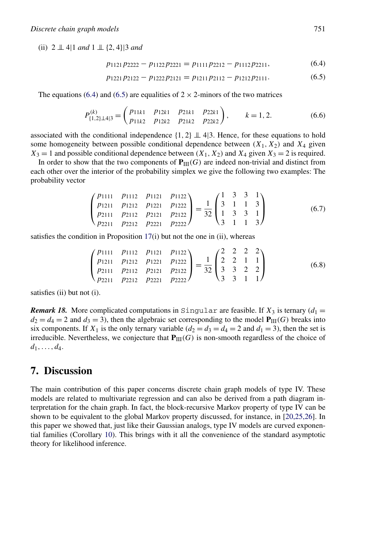<span id="page-15-0"></span>(ii) 2 ⊥⊥ 4|1 *and* 1 ⊥⊥ {2*,* 4}|3 *and*

$$
p_{1121}p_{2222} - p_{1122}p_{2221} = p_{1111}p_{2212} - p_{1112}p_{2211},
$$
\n(6.4)

$$
p_{1221}p_{2122} - p_{1222}p_{2121} = p_{1211}p_{2112} - p_{1212}p_{2111}.
$$
 (6.5)

The equations (6.4) and (6.5) are equalities of  $2 \times 2$ -minors of the two matrices

$$
P_{\{1,2\}\perp 4|3}^{(k)} = \begin{pmatrix} p_{11k1} & p_{12k1} & p_{21k1} & p_{22k1} \\ p_{11k2} & p_{12k2} & p_{21k2} & p_{22k2} \end{pmatrix}, \qquad k = 1, 2.
$$
 (6.6)

associated with the conditional independence  $\{1, 2\} \perp \!\!\!\perp 4$  4. Hence, for these equations to hold some homogeneity between possible conditional dependence between  $(X_1, X_2)$  and  $X_4$  given  $X_3 = 1$  and possible conditional dependence between  $(X_1, X_2)$  and  $X_4$  given  $X_3 = 2$  is required.

In order to show that the two components of  $P_{III}(G)$  are indeed non-trivial and distinct from each other over the interior of the probability simplex we give the following two examples: The probability vector

$$
\begin{pmatrix} p_{1111} & p_{1112} & p_{1121} & p_{1122} \\ p_{1211} & p_{1212} & p_{1221} & p_{1222} \\ p_{2111} & p_{2112} & p_{2121} & p_{2122} \\ p_{2211} & p_{2212} & p_{2221} & p_{2222} \end{pmatrix} = \frac{1}{32} \begin{pmatrix} 1 & 3 & 3 & 1 \\ 3 & 1 & 1 & 3 \\ 1 & 3 & 3 & 1 \\ 3 & 1 & 1 & 3 \end{pmatrix}
$$
 (6.7)

satisfies the condition in Proposition [17\(](#page-14-0)i) but not the one in (ii), whereas

$$
\begin{pmatrix} p_{1111} & p_{1112} & p_{1121} & p_{1122} \\ p_{1211} & p_{1212} & p_{1221} & p_{1222} \\ p_{2111} & p_{2112} & p_{2121} & p_{2122} \\ p_{2211} & p_{2212} & p_{2221} & p_{2222} \end{pmatrix} = \frac{1}{32} \begin{pmatrix} 2 & 2 & 2 & 2 \\ 2 & 2 & 1 & 1 \\ 3 & 3 & 2 & 2 \\ 3 & 3 & 1 & 1 \end{pmatrix}
$$
 (6.8)

satisfies (ii) but not (i).

*Remark 18.* More complicated computations in Singular are feasible. If  $X_3$  is ternary ( $d_1 =$  $d_2 = d_4 = 2$  and  $d_3 = 3$ ), then the algebraic set corresponding to the model  $P_{III}(G)$  breaks into six components. If  $X_1$  is the only ternary variable  $(d_2 = d_3 = d_4 = 2$  and  $d_1 = 3)$ , then the set is irreducible. Nevertheless, we conjecture that  $P_{III}(G)$  is non-smooth regardless of the choice of  $d_1, \ldots, d_4.$ 

## **7. Discussion**

The main contribution of this paper concerns discrete chain graph models of type IV. These models are related to multivariate regression and can also be derived from a path diagram interpretation for the chain graph. In fact, the block-recursive Markov property of type IV can be shown to be equivalent to the global Markov property discussed, for instance, in [\[20,25,26\]](#page-17-0). In this paper we showed that, just like their Gaussian analogs, type IV models are curved exponential families (Corollary [10\)](#page-9-0). This brings with it all the convenience of the standard asymptotic theory for likelihood inference.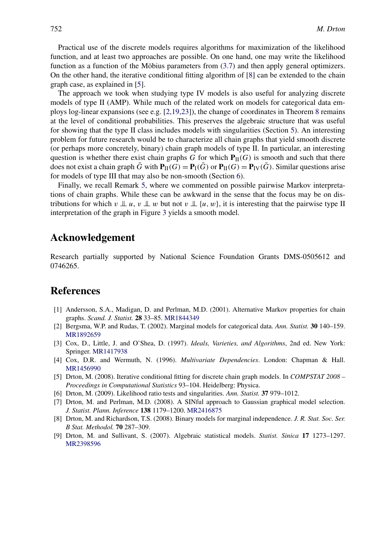<span id="page-16-0"></span>Practical use of the discrete models requires algorithms for maximization of the likelihood function, and at least two approaches are possible. On one hand, one may write the likelihood function as a function of the Möbius parameters from [\(3.7\)](#page-9-0) and then apply general optimizers. On the other hand, the iterative conditional fitting algorithm of [8] can be extended to the chain graph case, as explained in [5].

The approach we took when studying type IV models is also useful for analyzing discrete models of type II (AMP). While much of the related work on models for categorical data employs log-linear expansions (see e.g. [2,19,23]), the change of coordinates in Theorem [8](#page-7-0) remains at the level of conditional probabilities. This preserves the algebraic structure that was useful for showing that the type II class includes models with singularities (Section [5\)](#page-11-0). An interesting problem for future research would be to characterize all chain graphs that yield smooth discrete (or perhaps more concretely, binary) chain graph models of type II. In particular, an interesting question is whether there exist chain graphs *G* for which  $P_{\text{II}}(G)$  is smooth and such that there does not exist a chain graph *G* with  $P_{\text{II}}(G) = P_{\text{I}}(G)$  or  $P_{\text{II}}(G) = P_{\text{IV}}(G)$ . Similar questions arise for models of type III that may also be non-smooth (Section [6\)](#page-14-0).

Finally, we recall Remark [5,](#page-5-0) where we commented on possible pairwise Markov interpretations of chain graphs. While these can be awkward in the sense that the focus may be on distributions for which  $v \perp u$ ,  $v \perp w$  but not  $v \perp (u, w)$ , it is interesting that the pairwise type II interpretation of the graph in Figure [3](#page-5-0) yields a smooth model.

# **Acknowledgement**

Research partially supported by National Science Foundation Grants DMS-0505612 and 0746265.

# **References**

- [1] Andersson, S.A., Madigan, D. and Perlman, M.D. (2001). Alternative Markov properties for chain graphs. *Scand. J. Statist.* **28** 33–85. [MR1844349](http://www.ams.org/mathscinet-getitem?mr=1844349)
- [2] Bergsma, W.P. and Rudas, T. (2002). Marginal models for categorical data. *Ann. Statist.* **30** 140–159. [MR1892659](http://www.ams.org/mathscinet-getitem?mr=1892659)
- [3] Cox, D., Little, J. and O'Shea, D. (1997). *Ideals, Varieties, and Algorithms*, 2nd ed. New York: Springer. [MR1417938](http://www.ams.org/mathscinet-getitem?mr=1417938)
- [4] Cox, D.R. and Wermuth, N. (1996). *Multivariate Dependencies*. London: Chapman & Hall. [MR1456990](http://www.ams.org/mathscinet-getitem?mr=1456990)
- [5] Drton, M. (2008). Iterative conditional fitting for discrete chain graph models. In *COMPSTAT 2008 – Proceedings in Computational Statistics* 93–104. Heidelberg: Physica.
- [6] Drton, M. (2009). Likelihood ratio tests and singularities. *Ann. Statist.* **37** 979–1012.
- [7] Drton, M. and Perlman, M.D. (2008). A SINful approach to Gaussian graphical model selection. *J. Statist. Plann. Inference* **138** 1179–1200. [MR2416875](http://www.ams.org/mathscinet-getitem?mr=2416875)
- [8] Drton, M. and Richardson, T.S. (2008). Binary models for marginal independence. *J. R. Stat. Soc. Ser. B Stat. Methodol.* **70** 287–309.
- [9] Drton, M. and Sullivant, S. (2007). Algebraic statistical models. *Statist. Sinica* **17** 1273–1297. [MR2398596](http://www.ams.org/mathscinet-getitem?mr=2398596)